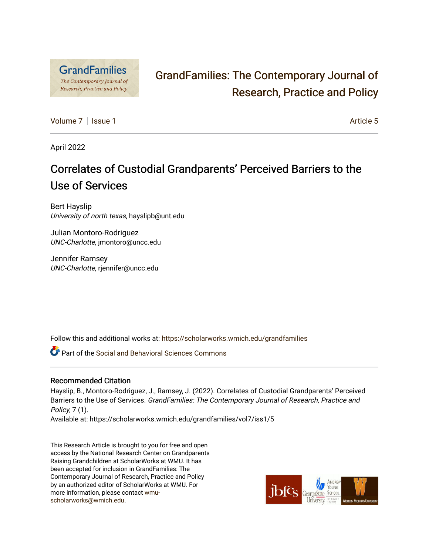

# [GrandFamilies: The Contemporary Journal of](https://scholarworks.wmich.edu/grandfamilies)  [Research, Practice and Policy](https://scholarworks.wmich.edu/grandfamilies)

[Volume 7](https://scholarworks.wmich.edu/grandfamilies/vol7) | [Issue 1](https://scholarworks.wmich.edu/grandfamilies/vol7/iss1) Article 5

April 2022

# Correlates of Custodial Grandparents' Perceived Barriers to the Use of Services

Bert Hayslip University of north texas, hayslipb@unt.edu

Julian Montoro-Rodriguez UNC-Charlotte, jmontoro@uncc.edu

Jennifer Ramsey UNC-Charlotte, rjennifer@uncc.edu

Follow this and additional works at: [https://scholarworks.wmich.edu/grandfamilies](https://scholarworks.wmich.edu/grandfamilies?utm_source=scholarworks.wmich.edu%2Fgrandfamilies%2Fvol7%2Fiss1%2F5&utm_medium=PDF&utm_campaign=PDFCoverPages)

Part of the [Social and Behavioral Sciences Commons](http://network.bepress.com/hgg/discipline/316?utm_source=scholarworks.wmich.edu%2Fgrandfamilies%2Fvol7%2Fiss1%2F5&utm_medium=PDF&utm_campaign=PDFCoverPages) 

## Recommended Citation

Hayslip, B., Montoro-Rodriguez, J., Ramsey, J. (2022). Correlates of Custodial Grandparents' Perceived Barriers to the Use of Services. GrandFamilies: The Contemporary Journal of Research, Practice and Policy, 7 (1).

Available at: https://scholarworks.wmich.edu/grandfamilies/vol7/iss1/5

This Research Article is brought to you for free and open access by the National Research Center on Grandparents Raising Grandchildren at ScholarWorks at WMU. It has been accepted for inclusion in GrandFamilies: The Contemporary Journal of Research, Practice and Policy by an authorized editor of ScholarWorks at WMU. For more information, please contact [wmu](mailto:wmu-scholarworks@wmich.edu)[scholarworks@wmich.edu.](mailto:wmu-scholarworks@wmich.edu)

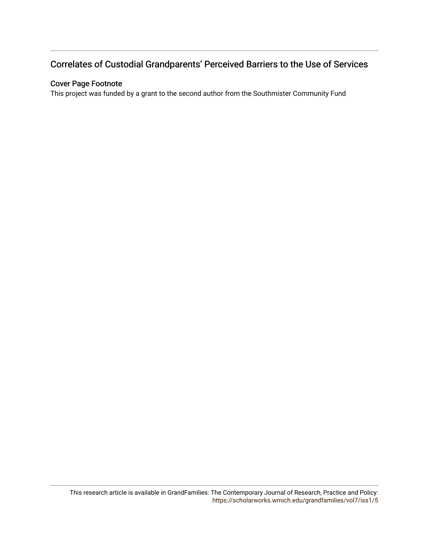# Correlates of Custodial Grandparents' Perceived Barriers to the Use of Services

# Cover Page Footnote

This project was funded by a grant to the second author from the Southmister Community Fund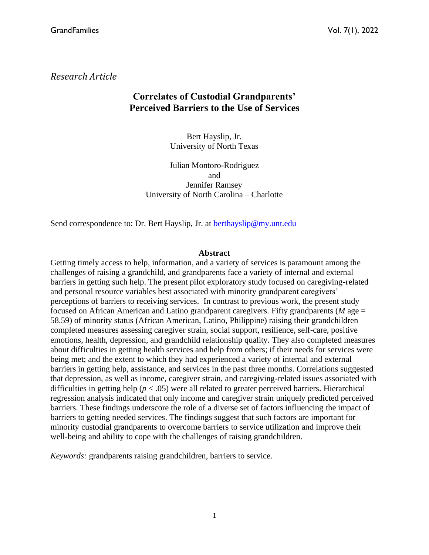*Research Article*

# **Correlates of Custodial Grandparents' Perceived Barriers to the Use of Services**

Bert Hayslip, Jr. University of North Texas

Julian Montoro-Rodriguez and Jennifer Ramsey University of North Carolina – Charlotte

Send correspondence to: Dr. Bert Hayslip, Jr. at berthayslip@my.unt.edu

### **Abstract**

Getting timely access to help, information, and a variety of services is paramount among the challenges of raising a grandchild, and grandparents face a variety of internal and external barriers in getting such help. The present pilot exploratory study focused on caregiving-related and personal resource variables best associated with minority grandparent caregivers' perceptions of barriers to receiving services. In contrast to previous work, the present study focused on African American and Latino grandparent caregivers. Fifty grandparents (*M* age = 58.59) of minority status (African American, Latino, Philippine) raising their grandchildren completed measures assessing caregiver strain, social support, resilience, self-care, positive emotions, health, depression, and grandchild relationship quality. They also completed measures about difficulties in getting health services and help from others; if their needs for services were being met; and the extent to which they had experienced a variety of internal and external barriers in getting help, assistance, and services in the past three months. Correlations suggested that depression, as well as income, caregiver strain, and caregiving-related issues associated with difficulties in getting help (*p* < .05) were all related to greater perceived barriers. Hierarchical regression analysis indicated that only income and caregiver strain uniquely predicted perceived barriers. These findings underscore the role of a diverse set of factors influencing the impact of barriers to getting needed services. The findings suggest that such factors are important for minority custodial grandparents to overcome barriers to service utilization and improve their well-being and ability to cope with the challenges of raising grandchildren.

*Keywords:* grandparents raising grandchildren, barriers to service.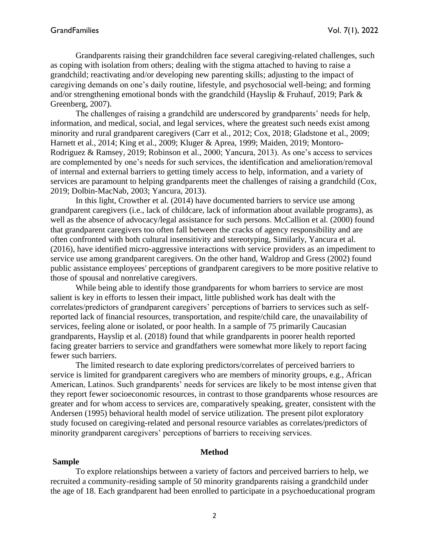Grandparents raising their grandchildren face several caregiving-related challenges, such as coping with isolation from others; dealing with the stigma attached to having to raise a grandchild; reactivating and/or developing new parenting skills; adjusting to the impact of caregiving demands on one's daily routine, lifestyle, and psychosocial well-being; and forming and/or strengthening emotional bonds with the grandchild (Hayslip & Fruhauf, 2019; Park  $\&$ Greenberg, 2007).

The challenges of raising a grandchild are underscored by grandparents' needs for help, information, and medical, social, and legal services, where the greatest such needs exist among minority and rural grandparent caregivers (Carr et al., 2012; Cox, 2018; Gladstone et al., 2009; Harnett et al., 2014; King et al., 2009; Kluger & Aprea, 1999; Maiden, 2019; Montoro-Rodriguez & Ramsey, 2019; Robinson et al., 2000; Yancura, 2013). As one's access to services are complemented by one's needs for such services, the identification and amelioration/removal of internal and external barriers to getting timely access to help, information, and a variety of services are paramount to helping grandparents meet the challenges of raising a grandchild (Cox, 2019; Dolbin-MacNab, 2003; Yancura, 2013).

In this light, Crowther et al. (2014) have documented barriers to service use among grandparent caregivers (i.e., lack of childcare, lack of information about available programs), as well as the absence of advocacy/legal assistance for such persons. McCallion et al. (2000) found that grandparent caregivers too often fall between the cracks of agency responsibility and are often confronted with both cultural insensitivity and stereotyping, Similarly, Yancura et al. (2016), have identified micro-aggressive interactions with service providers as an impediment to service use among grandparent caregivers. On the other hand, Waldrop and Gress (2002) found public assistance employees' perceptions of grandparent caregivers to be more positive relative to those of spousal and nonrelative caregivers.

While being able to identify those grandparents for whom barriers to service are most salient is key in efforts to lessen their impact, little published work has dealt with the correlates/predictors of grandparent caregivers' perceptions of barriers to services such as selfreported lack of financial resources, transportation, and respite/child care, the unavailability of services, feeling alone or isolated, or poor health. In a sample of 75 primarily Caucasian grandparents, Hayslip et al. (2018) found that while grandparents in poorer health reported facing greater barriers to service and grandfathers were somewhat more likely to report facing fewer such barriers.

The limited research to date exploring predictors/correlates of perceived barriers to service is limited for grandparent caregivers who are members of minority groups, e.g., African American, Latinos. Such grandparents' needs for services are likely to be most intense given that they report fewer socioeconomic resources, in contrast to those grandparents whose resources are greater and for whom access to services are, comparatively speaking, greater, consistent with the Andersen (1995) behavioral health model of service utilization. The present pilot exploratory study focused on caregiving-related and personal resource variables as correlates/predictors of minority grandparent caregivers' perceptions of barriers to receiving services.

#### **Method**

#### **Sample**

To explore relationships between a variety of factors and perceived barriers to help, we recruited a community-residing sample of 50 minority grandparents raising a grandchild under the age of 18. Each grandparent had been enrolled to participate in a psychoeducational program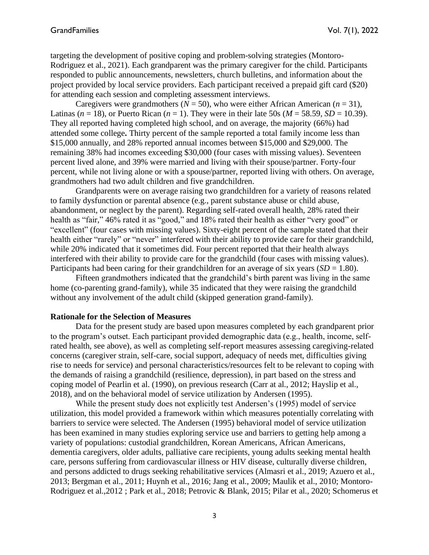targeting the development of positive coping and problem-solving strategies (Montoro-Rodriguez et al., 2021). Each grandparent was the primary caregiver for the child. Participants responded to public announcements, newsletters, church bulletins, and information about the project provided by local service providers. Each participant received a prepaid gift card (\$20) for attending each session and completing assessment interviews.

Caregivers were grandmothers ( $N = 50$ ), who were either African American ( $n = 31$ ), Latinas ( $n = 18$ ), or Puerto Rican ( $n = 1$ ). They were in their late 50s ( $M = 58.59$ ,  $SD = 10.39$ ). They all reported having completed high school, and on average, the majority (66%) had attended some college**.** Thirty percent of the sample reported a total family income less than \$15,000 annually, and 28% reported annual incomes between \$15,000 and \$29,000. The remaining 38% had incomes exceeding \$30,000 (four cases with missing values). Seventeen percent lived alone, and 39% were married and living with their spouse/partner. Forty-four percent, while not living alone or with a spouse/partner, reported living with others. On average, grandmothers had two adult children and five grandchildren.

Grandparents were on average raising two grandchildren for a variety of reasons related to family dysfunction or parental absence (e.g., parent substance abuse or child abuse, abandonment, or neglect by the parent). Regarding self-rated overall health, 28% rated their health as "fair," 46% rated it as "good," and 18% rated their health as either "very good" or "excellent" (four cases with missing values). Sixty-eight percent of the sample stated that their health either "rarely" or "never" interfered with their ability to provide care for their grandchild, while 20% indicated that it sometimes did. Four percent reported that their health always interfered with their ability to provide care for the grandchild (four cases with missing values). Participants had been caring for their grandchildren for an average of six years  $(SD = 1.80)$ .

Fifteen grandmothers indicated that the grandchild's birth parent was living in the same home (co-parenting grand-family), while 35 indicated that they were raising the grandchild without any involvement of the adult child (skipped generation grand-family).

#### **Rationale for the Selection of Measures**

Data for the present study are based upon measures completed by each grandparent prior to the program's outset. Each participant provided demographic data (e.g., health, income, selfrated health, see above), as well as completing self-report measures assessing caregiving-related concerns (caregiver strain, self-care, social support, adequacy of needs met, difficulties giving rise to needs for service) and personal characteristics/resources felt to be relevant to coping with the demands of raising a grandchild (resilience, depression), in part based on the stress and coping model of Pearlin et al. (1990), on previous research (Carr at al., 2012; Hayslip et al., 2018), and on the behavioral model of service utilization by Andersen (1995).

While the present study does not explicitly test Andersen's (1995) model of service utilization, this model provided a framework within which measures potentially correlating with barriers to service were selected. The Andersen (1995) behavioral model of service utilization has been examined in many studies exploring service use and barriers to getting help among a variety of populations: custodial grandchildren, Korean Americans, African Americans, dementia caregivers, older adults, palliative care recipients, young adults seeking mental health care, persons suffering from cardiovascular illness or HIV disease, culturally diverse children, and persons addicted to drugs seeking rehabilitative services (Almasri et al., 2019; Azuero et al., 2013; Bergman et al., 2011; Huynh et al., 2016; Jang et al., 2009; Maulik et al., 2010; Montoro-Rodriguez et al.,2012 ; Park et al., 2018; Petrovic & Blank, 2015; Pilar et al., 2020; Schomerus et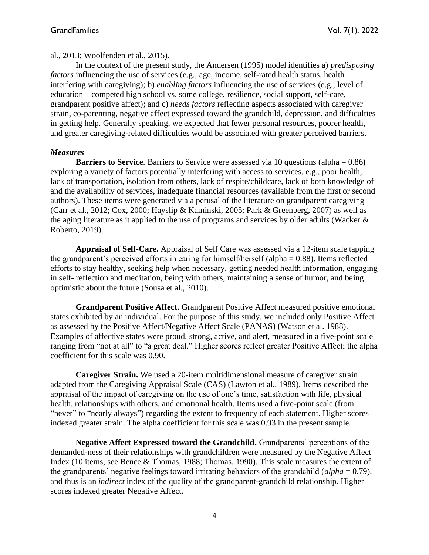al., 2013; Woolfenden et al., 2015).

In the context of the present study, the Andersen (1995) model identifies a) *predisposing factors* influencing the use of services (e.g., age, income, self-rated health status, health interfering with caregiving); b) *enabling factors* influencing the use of services (e.g., level of education—competed high school vs. some college, resilience, social support, self-care, grandparent positive affect); and c) *needs factors* reflecting aspects associated with caregiver strain, co-parenting, negative affect expressed toward the grandchild, depression, and difficulties in getting help. Generally speaking, we expected that fewer personal resources, poorer health, and greater caregiving-related difficulties would be associated with greater perceived barriers.

### *Measures*

**Barriers to Service**. Barriers to Service were assessed via 10 questions (alpha = 0.86**)** exploring a variety of factors potentially interfering with access to services, e.g., poor health, lack of transportation, isolation from others, lack of respite/childcare, lack of both knowledge of and the availability of services, inadequate financial resources (available from the first or second authors). These items were generated via a perusal of the literature on grandparent caregiving (Carr et al., 2012; Cox, 2000; Hayslip & Kaminski, 2005; Park & Greenberg, 2007) as well as the aging literature as it applied to the use of programs and services by older adults (Wacker & Roberto, 2019).

**Appraisal of Self-Care.** Appraisal of Self Care was assessed via a 12-item scale tapping the grandparent's perceived efforts in caring for himself/herself (alpha  $= 0.88$ ). Items reflected efforts to stay healthy, seeking help when necessary, getting needed health information, engaging in self- reflection and meditation, being with others, maintaining a sense of humor, and being optimistic about the future (Sousa et al., 2010).

**Grandparent Positive Affect.** Grandparent Positive Affect measured positive emotional states exhibited by an individual. For the purpose of this study, we included only Positive Affect as assessed by the Positive Affect/Negative Affect Scale (PANAS) (Watson et al. 1988). Examples of affective states were proud, strong, active, and alert, measured in a five-point scale ranging from "not at all" to "a great deal." Higher scores reflect greater Positive Affect; the alpha coefficient for this scale was 0.90.

**Caregiver Strain.** We used a 20-item multidimensional measure of caregiver strain adapted from the Caregiving Appraisal Scale (CAS) (Lawton et al., 1989). Items described the appraisal of the impact of caregiving on the use of one's time, satisfaction with life, physical health, relationships with others, and emotional health. Items used a five-point scale (from "never" to "nearly always") regarding the extent to frequency of each statement. Higher scores indexed greater strain. The alpha coefficient for this scale was 0.93 in the present sample.

**Negative Affect Expressed toward the Grandchild.** Grandparents' perceptions of the demanded-ness of their relationships with grandchildren were measured by the Negative Affect Index (10 items, see Bence & Thomas, 1988; Thomas, 1990). This scale measures the extent of the grandparents' negative feelings toward irritating behaviors of the grandchild (*alpha* = 0.79), and thus is an *indirect* index of the quality of the grandparent-grandchild relationship. Higher scores indexed greater Negative Affect.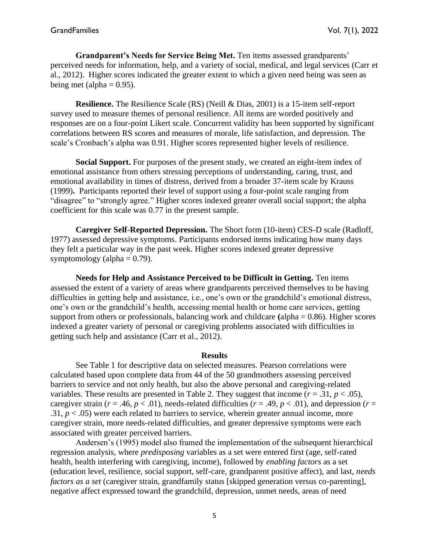**Grandparent's Needs for Service Being Met.** Ten items assessed grandparents' perceived needs for information, help, and a variety of social, medical, and legal services (Carr et al., 2012). Higher scores indicated the greater extent to which a given need being was seen as being met (alpha  $= 0.95$ ).

**Resilience.** The Resilience Scale (RS) (Neill & Dias, 2001) is a 15-item self-report survey used to measure themes of personal resilience. All items are worded positively and responses are on a four-point Likert scale. Concurrent validity has been supported by significant correlations between RS scores and measures of morale, life satisfaction, and depression. The scale's Cronbach's alpha was 0.91. Higher scores represented higher levels of resilience.

**Social Support.** For purposes of the present study, we created an eight-item index of emotional assistance from others stressing perceptions of understanding, caring, trust, and emotional availability in times of distress, derived from a broader 37-item scale by Krauss (1999)**.** Participants reported their level of support using a four-point scale ranging from "disagree" to "strongly agree." Higher scores indexed greater overall social support; the alpha coefficient for this scale was 0.77 in the present sample.

**Caregiver Self-Reported Depression.** The Short form (10-item) CES-D scale (Radloff, 1977) assessed depressive symptoms. Participants endorsed items indicating how many days they felt a particular way in the past week. Higher scores indexed greater depressive symptomology (alpha  $= 0.79$ ).

**Needs for Help and Assistance Perceived to be Difficult in Getting.** Ten items assessed the extent of a variety of areas where grandparents perceived themselves to be having difficulties in getting help and assistance, i.e., one's own or the grandchild's emotional distress, one's own or the grandchild's health, accessing mental health or home care services, getting support from others or professionals, balancing work and childcare **(**alpha = 0.86). Higher scores indexed a greater variety of personal or caregiving problems associated with difficulties in getting such help and assistance (Carr et al., 2012).

#### **Results**

See Table 1 for descriptive data on selected measures. Pearson correlations were calculated based upon complete data from 44 of the 50 grandmothers assessing perceived barriers to service and not only health, but also the above personal and caregiving-related variables. These results are presented in Table 2. They suggest that income ( $r = .31$ ,  $p < .05$ ), caregiver strain ( $r = .46$ ,  $p < .01$ ), needs-related difficulties ( $r = .49$ ,  $p < .01$ ), and depression ( $r =$ .31,  $p < .05$ ) were each related to barriers to service, wherein greater annual income, more caregiver strain, more needs-related difficulties, and greater depressive symptoms were each associated with greater perceived barriers.

Andersen's (1995) model also framed the implementation of the subsequent hierarchical regression analysis, where *predisposing* variables as a set were entered first (age, self-rated health, health interfering with caregiving, income), followed by *enabling factors* as a set (education level, resilience, social support, self-care, grandparent positive affect), and last, *needs factors as a set* (caregiver strain, grandfamily status [skipped generation versus co-parenting], negative affect expressed toward the grandchild, depression, unmet needs, areas of need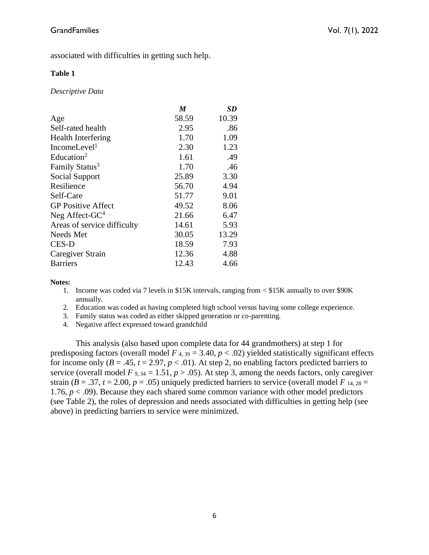associated with difficulties in getting such help.

## **Table 1**

*Descriptive Data* 

|                             | M     | SD    |
|-----------------------------|-------|-------|
| Age                         | 58.59 | 10.39 |
| Self-rated health           | 2.95  | .86   |
| <b>Health Interfering</b>   | 1.70  | 1.09  |
| IncomeLevel <sup>1</sup>    | 2.30  | 1.23  |
| Education <sup>2</sup>      | 1.61  | .49   |
| Family Status <sup>3</sup>  | 1.70  | .46   |
| Social Support              | 25.89 | 3.30  |
| Resilience                  | 56.70 | 4.94  |
| Self-Care                   | 51.77 | 9.01  |
| <b>GP</b> Positive Affect   | 49.52 | 8.06  |
| Neg Affect-GC <sup>4</sup>  | 21.66 | 6.47  |
| Areas of service difficulty | 14.61 | 5.93  |
| Needs Met                   | 30.05 | 13.29 |
| <b>CES-D</b>                | 18.59 | 7.93  |
| Caregiver Strain            | 12.36 | 4.88  |
| <b>Barriers</b>             | 12.43 | 4.66  |

#### **Notes:**

- 1. Income was coded via 7 levels in \$15K intervals, ranging from < \$15K annually to over \$90K annually.
- 2. Education was coded as having completed high school versus having some college experience.
- 3. Family status was coded as either skipped generation or co-parenting.
- 4. Negative affect expressed toward grandchild

This analysis (also based upon complete data for 44 grandmothers) at step 1 for predisposing factors (overall model  $F_{4,39} = 3.40, p < .02$ ) yielded statistically significant effects for income only  $(B = .45, t = 2.97, p < .01)$ . At step 2, no enabling factors predicted barriers to service (overall model  $F$  9, 34 = 1.51,  $p > .05$ ). At step 3, among the needs factors, only caregiver strain ( $B = .37$ ,  $t = 2.00$ ,  $p = .05$ ) uniquely predicted barriers to service (overall model  $F_{14, 28} =$ 1.76,  $p < .09$ ). Because they each shared some common variance with other model predictors (see Table 2), the roles of depression and needs associated with difficulties in getting help (see above) in predicting barriers to service were minimized.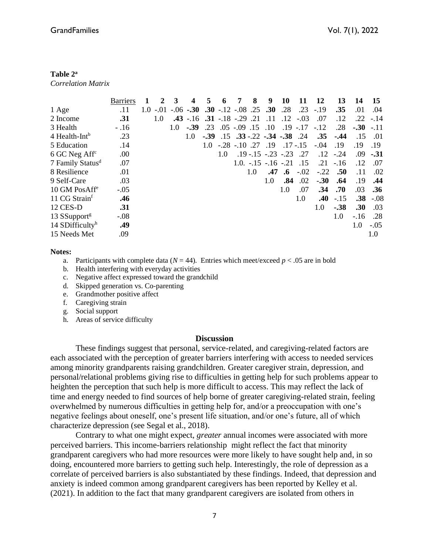#### **Table 2<sup>a</sup>**

*Correlation Matrix*

|                              | <b>Barriers</b> |     | $\mathcal{D}$ | 3   |               | 5      | 6                     | 7                 | 8   | 9                                      | 10            | 11          | 12      | 13     | 14         | 15     |
|------------------------------|-----------------|-----|---------------|-----|---------------|--------|-----------------------|-------------------|-----|----------------------------------------|---------------|-------------|---------|--------|------------|--------|
| 1 Age                        | .11             | 1.0 | $-.01$        |     | $-.06$ $-.30$ |        | $.30 - .12 - .08$ .25 |                   |     | .30                                    | .28           | .23         | $-.19$  | .35    | .01        | .04    |
| 2 Income                     | .31             |     | 1.0           |     | $.43 - 16$    |        | $.31 - .18 - .29$ .21 |                   |     | .11                                    | .12           | $-.03$      | .07     | .12    | .22        | $-.14$ |
| 3 Health                     | $-.16$          |     |               | 1.0 | $-.39$        | .23    |                       | $.05 - .09$ $.15$ |     | .10                                    |               | $.19 - .17$ | $-.12$  | .28    | $-30 - 11$ |        |
| $4$ Health-Int <sup>b</sup>  | .23             |     |               |     | 1.0           | $-.39$ |                       |                   |     | $.15$ $.33$ $-.22$ $-.34$ $-.38$ $.24$ |               |             | .35     | $-.44$ | .15        | .01    |
| 5 Education                  | .14             |     |               |     |               | 1.0    | $-.28-.10$ .27        |                   |     | .19                                    |               | $.17 - .15$ | $-.04$  | .19    | .19        | .19    |
| $6$ GC Neg Aff <sup>c</sup>  | .00             |     |               |     |               |        | 1.0                   |                   |     | $.19 - .15 - .23 - .23$ 27             |               |             | $.12\,$ | $-.24$ | .09        | $-.31$ |
| 7 Family Status <sup>d</sup> | .07             |     |               |     |               |        |                       |                   |     | $1.0. -15 -16 -21$                     |               | .15         | .21     | $-.16$ | .12        | .07    |
| 8 Resilience                 | .01             |     |               |     |               |        |                       |                   | 1.0 | .47                                    | $\mathbf{.6}$ | $-.02$      | $-.22$  | .50    | .11        | .02    |
| 9 Self-Care                  | .03             |     |               |     |               |        |                       |                   |     | 1.0                                    | .84           | .02         | $-.30$  | .64    | .19        | .44    |
| 10 GM PosAff <sup>e</sup>    | $-.05$          |     |               |     |               |        |                       |                   |     |                                        | 1.0           | .07         | .34     | .70    | .03        | .36    |
| 11 CG Strain <sup>t</sup>    | .46             |     |               |     |               |        |                       |                   |     |                                        |               | 1.0         | .40     | $-.15$ | .38        | $-.08$ |
| 12 CES-D                     | .31             |     |               |     |               |        |                       |                   |     |                                        |               |             | 1.0     | $-.38$ | .30        | .03    |
| 13 SSupport <sup>g</sup>     | $-.08$          |     |               |     |               |        |                       |                   |     |                                        |               |             |         | 1.0    | $-.16$     | .28    |
| 14 SDifficulty $^h$          | .49             |     |               |     |               |        |                       |                   |     |                                        |               |             |         |        | 1.0        | $-.05$ |
| 15 Needs Met                 | .09             |     |               |     |               |        |                       |                   |     |                                        |               |             |         |        |            | 1.0    |

#### **Notes:**

- a. Participants with complete data  $(N = 44)$ . Entries which meet/exceed  $p < .05$  are in bold
- b. Health interfering with everyday activities
- c. Negative affect expressed toward the grandchild
- d. Skipped generation vs. Co-parenting
- e. Grandmother positive affect
- f. Caregiving strain
- g. Social support
- h. Areas of service difficulty

#### **Discussion**

These findings suggest that personal, service-related, and caregiving-related factors are each associated with the perception of greater barriers interfering with access to needed services among minority grandparents raising grandchildren. Greater caregiver strain, depression, and personal/relational problems giving rise to difficulties in getting help for such problems appear to heighten the perception that such help is more difficult to access. This may reflect the lack of time and energy needed to find sources of help borne of greater caregiving-related strain, feeling overwhelmed by numerous difficulties in getting help for, and/or a preoccupation with one's negative feelings about oneself, one's present life situation, and/or one's future, all of which characterize depression (see Segal et al., 2018).

Contrary to what one might expect, *greater* annual incomes were associated with more perceived barriers. This income-barriers relationship might reflect the fact that minority grandparent caregivers who had more resources were more likely to have sought help and, in so doing, encountered more barriers to getting such help. Interestingly, the role of depression as a correlate of perceived barriers is also substantiated by these findings. Indeed, that depression and anxiety is indeed common among grandparent caregivers has been reported by Kelley et al. (2021). In addition to the fact that many grandparent caregivers are isolated from others in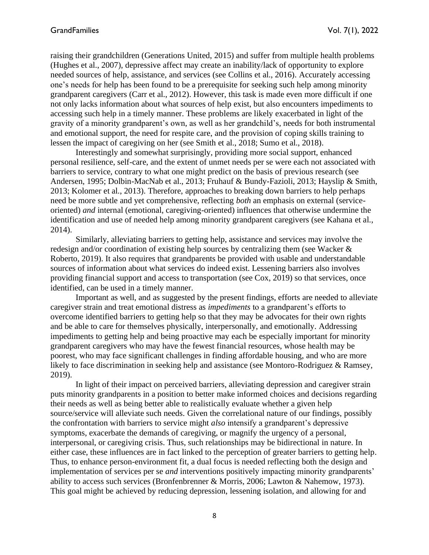raising their grandchildren (Generations United, 2015) and suffer from multiple health problems (Hughes et al., 2007), depressive affect may create an inability/lack of opportunity to explore needed sources of help, assistance, and services (see Collins et al., 2016). Accurately accessing one's needs for help has been found to be a prerequisite for seeking such help among minority grandparent caregivers (Carr et al., 2012). However, this task is made even more difficult if one not only lacks information about what sources of help exist, but also encounters impediments to accessing such help in a timely manner. These problems are likely exacerbated in light of the gravity of a minority grandparent's own, as well as her grandchild's, needs for both instrumental and emotional support, the need for respite care, and the provision of coping skills training to lessen the impact of caregiving on her (see Smith et al., 2018; Sumo et al., 2018).

Interestingly and somewhat surprisingly, providing more social support, enhanced personal resilience, self-care, and the extent of unmet needs per se were each not associated with barriers to service, contrary to what one might predict on the basis of previous research (see Andersen, 1995; Dolbin-MacNab et al., 2013; Fruhauf & Bundy-Fazioli, 2013; Hayslip & Smith, 2013; Kolomer et al., 2013). Therefore, approaches to breaking down barriers to help perhaps need be more subtle and yet comprehensive, reflecting *both* an emphasis on external (serviceoriented) *and* internal (emotional, caregiving-oriented) influences that otherwise undermine the identification and use of needed help among minority grandparent caregivers (see Kahana et al., 2014).

Similarly, alleviating barriers to getting help, assistance and services may involve the redesign and/or coordination of existing help sources by centralizing them (see Wacker & Roberto, 2019). It also requires that grandparents be provided with usable and understandable sources of information about what services do indeed exist. Lessening barriers also involves providing financial support and access to transportation (see Cox, 2019) so that services, once identified, can be used in a timely manner.

Important as well, and as suggested by the present findings, efforts are needed to alleviate caregiver strain and treat emotional distress as *impediments* to a grandparent's efforts to overcome identified barriers to getting help so that they may be advocates for their own rights and be able to care for themselves physically, interpersonally, and emotionally. Addressing impediments to getting help and being proactive may each be especially important for minority grandparent caregivers who may have the fewest financial resources, whose health may be poorest, who may face significant challenges in finding affordable housing, and who are more likely to face discrimination in seeking help and assistance (see Montoro-Rodriguez & Ramsey, 2019).

In light of their impact on perceived barriers, alleviating depression and caregiver strain puts minority grandparents in a position to better make informed choices and decisions regarding their needs as well as being better able to realistically evaluate whether a given help source/service will alleviate such needs. Given the correlational nature of our findings, possibly the confrontation with barriers to service might *also* intensify a grandparent's depressive symptoms, exacerbate the demands of caregiving, or magnify the urgency of a personal, interpersonal, or caregiving crisis. Thus, such relationships may be bidirectional in nature. In either case, these influences are in fact linked to the perception of greater barriers to getting help. Thus, to enhance person-environment fit, a dual focus is needed reflecting both the design and implementation of services per se *and* interventions positively impacting minority grandparents' ability to access such services (Bronfenbrenner & Morris, 2006; Lawton & Nahemow, 1973). This goal might be achieved by reducing depression, lessening isolation, and allowing for and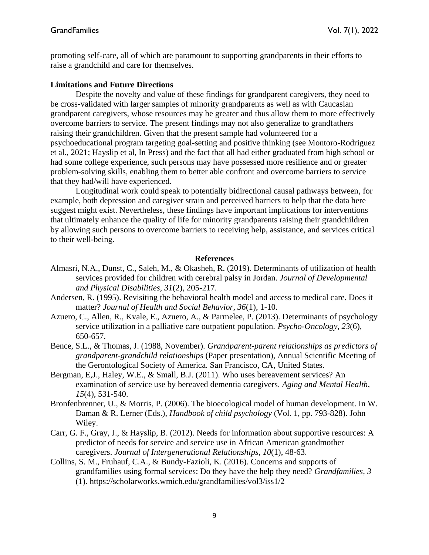promoting self-care, all of which are paramount to supporting grandparents in their efforts to raise a grandchild and care for themselves.

#### **Limitations and Future Directions**

Despite the novelty and value of these findings for grandparent caregivers, they need to be cross-validated with larger samples of minority grandparents as well as with Caucasian grandparent caregivers, whose resources may be greater and thus allow them to more effectively overcome barriers to service. The present findings may not also generalize to grandfathers raising their grandchildren. Given that the present sample had volunteered for a psychoeducational program targeting goal-setting and positive thinking (see Montoro-Rodriguez et al., 2021; Hayslip et al, In Press) and the fact that all had either graduated from high school or had some college experience, such persons may have possessed more resilience and or greater problem-solving skills, enabling them to better able confront and overcome barriers to service that they had/will have experienced.

Longitudinal work could speak to potentially bidirectional causal pathways between, for example, both depression and caregiver strain and perceived barriers to help that the data here suggest might exist. Nevertheless, these findings have important implications for interventions that ultimately enhance the quality of life for minority grandparents raising their grandchildren by allowing such persons to overcome barriers to receiving help, assistance, and services critical to their well-being.

#### **References**

- Almasri, N.A., Dunst, C., Saleh, M., & Okasheh, R. (2019). Determinants of utilization of health services provided for children with cerebral palsy in Jordan. *Journal of Developmental and Physical Disabilities, 31*(2)*,* 205-217.
- Andersen, R. (1995). Revisiting the behavioral health model and access to medical care. Does it matter? *Journal of Health and Social Behavior, 36*(1), 1-10.
- Azuero, C., Allen, R., Kvale, E., Azuero, A., & Parmelee, P. (2013). Determinants of psychology service utilization in a palliative care outpatient population. *Psycho-Oncology, 23*(6)*,* 650-657.
- Bence, S.L., & Thomas, J. (1988, November). *Grandparent-parent relationships as predictors of grandparent-grandchild relationships* (Paper presentation), Annual Scientific Meeting of the Gerontological Society of America. San Francisco, CA, United States.
- Bergman, E,J., Haley, W.E., & Small, B.J. (2011). Who uses bereavement services? An examination of service use by bereaved dementia caregivers. *Aging and Mental Health, 15*(4), 531-540.
- Bronfenbrenner, U., & Morris, P. (2006). The bioecological model of human development. In W. Daman & R. Lerner (Eds.), *Handbook of child psychology* (Vol. 1, pp. 793-828). John Wiley.
- Carr, G. F., Gray, J., & Hayslip, B. (2012). Needs for information about supportive resources: A predictor of needs for service and service use in African American grandmother caregivers. *Journal of Intergenerational Relationships*, *10*(1), 48-63.
- Collins, S. M., Fruhauf, C.A., & Bundy-Fazioli, K. (2016). Concerns and supports of grandfamilies using formal services: Do they have the help they need? *Grandfamilies, 3* (1). https://scholarworks.wmich.edu/grandfamilies/vol3/iss1/2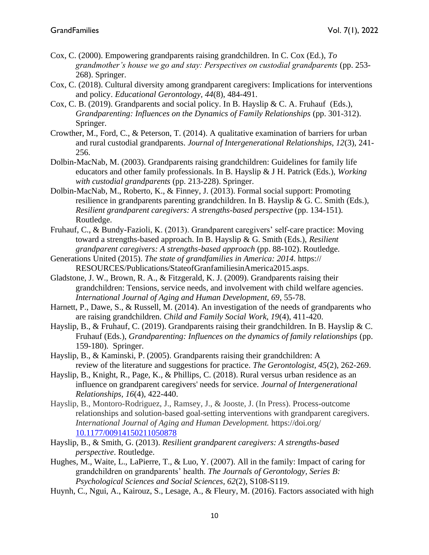- Cox, C. (2000). Empowering grandparents raising grandchildren. In C. Cox (Ed.), *To grandmother's house we go and stay: Perspectives on custodial grandparents* (pp. 253- 268). Springer.
- Cox, C. (2018). Cultural diversity among grandparent caregivers: Implications for interventions and policy. *Educational Gerontology, 44*(8), 484-491.
- Cox, C. B. (2019). Grandparents and social policy. In B. Hayslip & C. A. Fruhauf (Eds.), *Grandparenting: Influences on the Dynamics of Family Relationships* (pp. 301-312). Springer.
- Crowther, M., Ford, C., & Peterson, T. (2014). A qualitative examination of barriers for urban and rural custodial grandparents. *Journal of Intergenerational Relationships, 12*(3)*,* 241- 256.
- Dolbin-MacNab, M. (2003). Grandparents raising grandchildren: Guidelines for family life educators and other family professionals. In B. Hayslip & J H. Patrick (Eds.), *Working with custodial grandparents* (pp. 213-228). Springer.
- Dolbin-MacNab, M., Roberto, K., & Finney, J. (2013). Formal social support: Promoting resilience in grandparents parenting grandchildren. In B. Hayslip & G. C. Smith (Eds.), *Resilient grandparent caregivers: A strengths-based perspective* (pp. 134-151)*.*  Routledge.
- Fruhauf, C., & Bundy-Fazioli, K. (2013). Grandparent caregivers' self-care practice: Moving toward a strengths-based approach. In B. Hayslip & G. Smith (Eds.), *Resilient grandparent caregivers: A strengths-based approach* (pp. 88-102). Routledge.
- Generations United (2015). *The state of grandfamilies in America: 2014.* https:// RESOURCES/Publications/StateofGranfamiliesinAmerica2015.asps.
- Gladstone, J. W., Brown, R. A., & Fitzgerald, K. J. (2009). Grandparents raising their grandchildren: Tensions, service needs, and involvement with child welfare agencies. *International Journal of Aging and Human Development, 69*, 55-78.
- Harnett, P., Dawe, S., & Russell, M. (2014). An investigation of the needs of grandparents who are raising grandchildren. *Child and Family Social Work, 19*(4)*,* 411-420.
- Hayslip, B., & Fruhauf, C. (2019). Grandparents raising their grandchildren. In B. Hayslip & C. Fruhauf (Eds.), *Grandparenting: Influences on the dynamics of family relationships* (pp. 159-180)*.* Springer.
- Hayslip, B., & Kaminski, P. (2005). Grandparents raising their grandchildren: A review of the literature and suggestions for practice. *The Gerontologist, 45*(2), 262-269.
- Hayslip, B., Knight, R., Page, K., & Phillips, C. (2018). Rural versus urban residence as an influence on grandparent caregivers' needs for service. *Journal of Intergenerational Relationships, 16*(4)*,* 422-440.
- Hayslip, B., Montoro-Rodriguez, J., Ramsey, J., & Jooste, J. (In Press). Process-outcome relationships and solution-based goal-setting interventions with grandparent caregivers. *International Journal of Aging and Human Development.* https://doi.org/ [10.1177/00914150211050878](http://dx.doi.org/10.1177/00914150211050878)
- Hayslip, B., & Smith, G. (2013). *Resilient grandparent caregivers: A strengths-based perspective*. Routledge.
- Hughes, M., Waite, L., LaPierre, T., & Luo, Y. (2007). All in the family: Impact of caring for grandchildren on grandparents' health. *The Journals of Gerontology, Series B: Psychological Sciences and Social Sciences, 62*(2), S108-S119.
- Huynh, C., Ngui, A., Kairouz, S., Lesage, A., & Fleury, M. (2016). Factors associated with high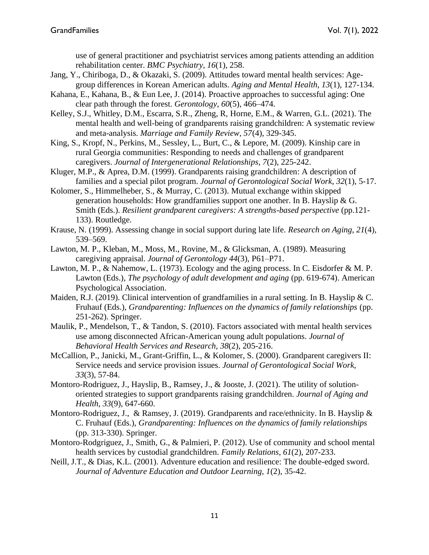use of general practitioner and psychiatrist services among patients attending an addition rehabilitation center. *BMC Psychiatry, 16*(1)*,* 258.

- Jang, Y., Chiriboga, D., & Okazaki, S. (2009). Attitudes toward mental health services: Agegroup differences in Korean American adults. *Aging and Mental Health, 13*(1), 127-134.
- Kahana, E., Kahana, B., & Eun Lee, J. (2014). Proactive approaches to successful aging: One clear path through the forest. *Gerontology*, *60*(5), 466–474.
- Kelley, S.J., Whitley, D.M., Escarra, S.R., Zheng, R, Horne, E.M., & Warren, G.L. (2021). The mental health and well-being of grandparents raising grandchildren: A systematic review and meta-analysis. *Marriage and Family Review, 57*(4), 329-345.
- King, S., Kropf, N., Perkins, M., Sessley, L., Burt, C., & Lepore, M. (2009). Kinship care in rural Georgia communities: Responding to needs and challenges of grandparent caregivers. *Journal of Intergenerational Relationships, 7*(2), 225-242.
- Kluger, M.P., & Aprea, D.M. (1999). Grandparents raising grandchildren: A description of families and a special pilot program. *Journal of Gerontological Social Work, 32*(1), 5-17.
- Kolomer, S., Himmelheber, S., & Murray, C. (2013). Mutual exchange within skipped generation households: How grandfamilies support one another. In B. Hayslip & G. Smith (Eds.). *Resilient grandparent caregivers: A strengths-based perspective* (pp.121- 133). Routledge.
- Krause, N. (1999). Assessing change in social support during late life. *Research on Aging*, *21*(4)*,* 539–569.
- Lawton, M. P., Kleban, M., Moss, M., Rovine, M., & Glicksman, A. (1989). Measuring caregiving appraisal. *Journal of Gerontology 44*(3), P61–P71.
- Lawton, M. P., & Nahemow, L. (1973). Ecology and the aging process. In C. Eisdorfer & M. P. Lawton (Eds.), *The psychology of adult development and aging* (pp. 619-674). American Psychological Association.
- Maiden, R.J. (2019). Clinical intervention of grandfamilies in a rural setting. In B. Hayslip & C. Fruhauf (Eds.), *Grandparenting: Influences on the dynamics of family relationships* (pp. 251-262). Springer.
- Maulik, P., Mendelson, T., & Tandon, S. (2010). Factors associated with mental health services use among disconnected African-American young adult populations. *Journal of Behavioral Health Services and Research, 38*(2), 205-216.
- McCallion, P., Janicki, M., Grant-Griffin, L., & Kolomer, S. (2000). Grandparent caregivers II: Service needs and service provision issues. *Journal of Gerontological Social Work, 33*(3), 57-84.
- Montoro-Rodriguez, J., Hayslip, B., Ramsey, J., & Jooste, J. (2021). The utility of solutionoriented strategies to support grandparents raising grandchildren. *Journal of Aging and Health, 33*(9)*,* 647-660.
- Montoro-Rodriguez, J., & Ramsey, J. (2019). Grandparents and race/ethnicity. In B. Hayslip & C. Fruhauf (Eds.), *Grandparenting: Influences on the dynamics of family relationships*  (pp. 313-330). Springer.
- Montoro-Rodgriguez, J., Smith, G., & Palmieri, P. (2012). Use of community and school mental health services by custodial grandchildren. *Family Relations, 61*(2), 207-233.
- Neill, J.T., & Dias, K.L. (2001). Adventure education and resilience: The double-edged sword. *Journal of Adventure Education and Outdoor Learning, 1*(2)*,* 35-42.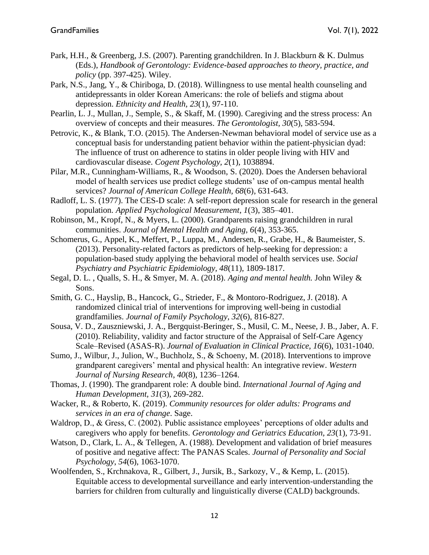- Park, H.H., & Greenberg, J.S. (2007). Parenting grandchildren. In J. Blackburn & K. Dulmus (Eds.), *Handbook of Gerontology: Evidence-based approaches to theory, practice, and policy* (pp. 397-425). Wiley.
- Park, N.S., Jang, Y., & Chiriboga, D. (2018). Willingness to use mental health counseling and antidepressants in older Korean Americans: the role of beliefs and stigma about depression. *Ethnicity and Health, 23*(1)*,* 97-110.
- Pearlin, L. J., Mullan, J., Semple, S., & Skaff, M. (1990). Caregiving and the stress process: An overview of concepts and their measures. *The Gerontologist, 30*(5)*,* 583-594.
- Petrovic, K., & Blank, T.O. (2015). The Andersen-Newman behavioral model of service use as a conceptual basis for understanding patient behavior within the patient-physician dyad: The influence of trust on adherence to statins in older people living with HIV and cardiovascular disease. *Cogent Psychology, 2*(1)*,* 1038894.
- Pilar, M.R., Cunningham-Williams, R., & Woodson, S. (2020). Does the Andersen behavioral model of health services use predict college students' use of on-campus mental health services? *Journal of American College Health, 68*(6), 631-643.
- Radloff, L. S. (1977). The CES-D scale: A self-report depression scale for research in the general population. *Applied Psychological Measurement*, *1*(3), 385–401.
- Robinson, M., Kropf, N., & Myers, L. (2000). Grandparents raising grandchildren in rural communities. *Journal of Mental Health and Aging, 6*(4)*,* 353-365.
- Schomerus, G., Appel, K., Meffert, P., Luppa, M., Andersen, R., Grabe, H., & Baumeister, S. (2013). Personality-related factors as predictors of help-seeking for depression: a population-based study applying the behavioral model of health services use. *Social Psychiatry and Psychiatric Epidemiology, 48*(11)*,* 1809-1817.
- Segal, D. L. , Qualls, S. H., & Smyer, M. A. (2018). *Aging and mental health.* John Wiley & Sons.
- Smith, G. C., Hayslip, B., Hancock, G., Strieder, F., & Montoro-Rodriguez, J. (2018). A randomized clinical trial of interventions for improving well-being in custodial grandfamilies. *Journal of Family Psychology, 32*(6)*,* 816-827*.*
- Sousa, V. D., Zauszniewski, J. A., Bergquist-Beringer, S., Musil, C. M., Neese, J. B., Jaber, A. F. (2010). Reliability, validity and factor structure of the Appraisal of Self-Care Agency Scale–Revised (ASAS-R). *Journal of Evaluation in Clinical Practice, 16*(6), 1031-1040.
- Sumo, J., Wilbur, J., Julion, W., Buchholz, S., & Schoeny, M. (2018). Interventions to improve grandparent caregivers' mental and physical health: An integrative review. *Western Journal of Nursing Research*, *40*(8), 1236–1264.
- Thomas, J. (1990). The grandparent role: A double bind. *International Journal of Aging and Human Development, 31*(3)*,* 269-282.
- Wacker, R., & Roberto, K. (2019). *Community resources for older adults: Programs and services in an era of change*. Sage.
- Waldrop, D., & Gress, C. (2002). Public assistance employees' perceptions of older adults and caregivers who apply for benefits. *Gerontology and Geriatrics Education, 23*(1)*,* 73-91.
- Watson, D., Clark, L. A., & Tellegen, A. (1988). Development and validation of brief measures of positive and negative affect: The PANAS Scales. *Journal of Personality and Social Psychology*, *54*(6), 1063-1070.
- Woolfenden, S., Krchnakova, R., Gilbert, J., Jursik, B., Sarkozy, V., & Kemp, L. (2015). Equitable access to developmental surveillance and early intervention-understanding the barriers for children from culturally and linguistically diverse (CALD) backgrounds.